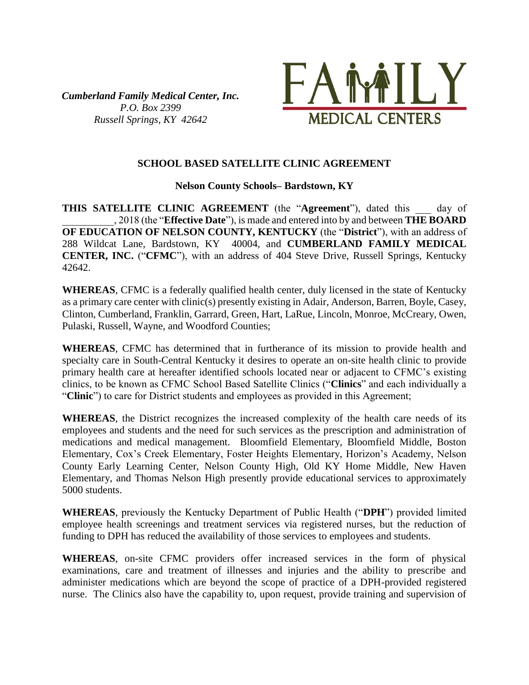*Cumberland Family Medical Center, Inc. P.O. Box 2399 Russell Springs, KY 42642*



### **SCHOOL BASED SATELLITE CLINIC AGREEMENT**

**Nelson County Schools– Bardstown, KY**

**THIS SATELLITE CLINIC AGREEMENT** (the "**Agreement**"), dated this day of \_\_\_\_\_\_\_\_\_\_, 2018 (the "**Effective Date**"), is made and entered into by and between **THE BOARD OF EDUCATION OF NELSON COUNTY, KENTUCKY** (the "**District**"), with an address of 288 Wildcat Lane, Bardstown, KY 40004, and **CUMBERLAND FAMILY MEDICAL CENTER, INC.** ("**CFMC**"), with an address of 404 Steve Drive, Russell Springs, Kentucky 42642.

**WHEREAS**, CFMC is a federally qualified health center, duly licensed in the state of Kentucky as a primary care center with clinic(s) presently existing in Adair, Anderson, Barren, Boyle, Casey, Clinton, Cumberland, Franklin, Garrard, Green, Hart, LaRue, Lincoln, Monroe, McCreary, Owen, Pulaski, Russell, Wayne, and Woodford Counties;

**WHEREAS**, CFMC has determined that in furtherance of its mission to provide health and specialty care in South-Central Kentucky it desires to operate an on-site health clinic to provide primary health care at hereafter identified schools located near or adjacent to CFMC's existing clinics, to be known as CFMC School Based Satellite Clinics ("**Clinics**" and each individually a "**Clinic**") to care for District students and employees as provided in this Agreement;

**WHEREAS**, the District recognizes the increased complexity of the health care needs of its employees and students and the need for such services as the prescription and administration of medications and medical management. Bloomfield Elementary, Bloomfield Middle, Boston Elementary, Cox's Creek Elementary, Foster Heights Elementary, Horizon's Academy, Nelson County Early Learning Center, Nelson County High, Old KY Home Middle, New Haven Elementary, and Thomas Nelson High presently provide educational services to approximately 5000 students.

**WHEREAS**, previously the Kentucky Department of Public Health ("**DPH**") provided limited employee health screenings and treatment services via registered nurses, but the reduction of funding to DPH has reduced the availability of those services to employees and students.

**WHEREAS**, on-site CFMC providers offer increased services in the form of physical examinations, care and treatment of illnesses and injuries and the ability to prescribe and administer medications which are beyond the scope of practice of a DPH-provided registered nurse. The Clinics also have the capability to, upon request, provide training and supervision of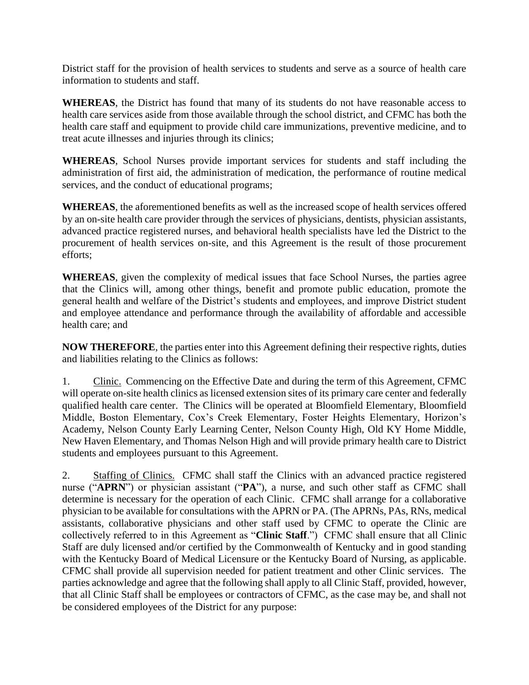District staff for the provision of health services to students and serve as a source of health care information to students and staff.

**WHEREAS**, the District has found that many of its students do not have reasonable access to health care services aside from those available through the school district, and CFMC has both the health care staff and equipment to provide child care immunizations, preventive medicine, and to treat acute illnesses and injuries through its clinics;

**WHEREAS**, School Nurses provide important services for students and staff including the administration of first aid, the administration of medication, the performance of routine medical services, and the conduct of educational programs;

**WHEREAS**, the aforementioned benefits as well as the increased scope of health services offered by an on-site health care provider through the services of physicians, dentists, physician assistants, advanced practice registered nurses, and behavioral health specialists have led the District to the procurement of health services on-site, and this Agreement is the result of those procurement efforts;

**WHEREAS**, given the complexity of medical issues that face School Nurses, the parties agree that the Clinics will, among other things, benefit and promote public education, promote the general health and welfare of the District's students and employees, and improve District student and employee attendance and performance through the availability of affordable and accessible health care; and

**NOW THEREFORE**, the parties enter into this Agreement defining their respective rights, duties and liabilities relating to the Clinics as follows:

1. Clinic. Commencing on the Effective Date and during the term of this Agreement, CFMC will operate on-site health clinics as licensed extension sites of its primary care center and federally qualified health care center. The Clinics will be operated at Bloomfield Elementary, Bloomfield Middle, Boston Elementary, Cox's Creek Elementary, Foster Heights Elementary, Horizon's Academy, Nelson County Early Learning Center, Nelson County High, Old KY Home Middle, New Haven Elementary, and Thomas Nelson High and will provide primary health care to District students and employees pursuant to this Agreement.

2. Staffing of Clinics. CFMC shall staff the Clinics with an advanced practice registered nurse ("**APRN**") or physician assistant ("**PA**"), a nurse, and such other staff as CFMC shall determine is necessary for the operation of each Clinic. CFMC shall arrange for a collaborative physician to be available for consultations with the APRN or PA. (The APRNs, PAs, RNs, medical assistants, collaborative physicians and other staff used by CFMC to operate the Clinic are collectively referred to in this Agreement as "**Clinic Staff**.") CFMC shall ensure that all Clinic Staff are duly licensed and/or certified by the Commonwealth of Kentucky and in good standing with the Kentucky Board of Medical Licensure or the Kentucky Board of Nursing, as applicable. CFMC shall provide all supervision needed for patient treatment and other Clinic services. The parties acknowledge and agree that the following shall apply to all Clinic Staff, provided, however, that all Clinic Staff shall be employees or contractors of CFMC, as the case may be, and shall not be considered employees of the District for any purpose: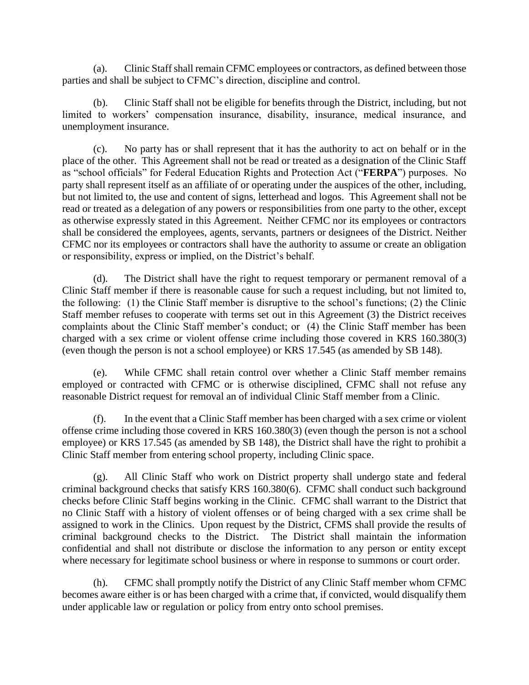(a). Clinic Staff shall remain CFMC employees or contractors, as defined between those parties and shall be subject to CFMC's direction, discipline and control.

(b). Clinic Staff shall not be eligible for benefits through the District, including, but not limited to workers' compensation insurance, disability, insurance, medical insurance, and unemployment insurance.

(c). No party has or shall represent that it has the authority to act on behalf or in the place of the other. This Agreement shall not be read or treated as a designation of the Clinic Staff as "school officials" for Federal Education Rights and Protection Act ("**FERPA**") purposes. No party shall represent itself as an affiliate of or operating under the auspices of the other, including, but not limited to, the use and content of signs, letterhead and logos. This Agreement shall not be read or treated as a delegation of any powers or responsibilities from one party to the other, except as otherwise expressly stated in this Agreement. Neither CFMC nor its employees or contractors shall be considered the employees, agents, servants, partners or designees of the District. Neither CFMC nor its employees or contractors shall have the authority to assume or create an obligation or responsibility, express or implied, on the District's behalf.

(d). The District shall have the right to request temporary or permanent removal of a Clinic Staff member if there is reasonable cause for such a request including, but not limited to, the following: (1) the Clinic Staff member is disruptive to the school's functions; (2) the Clinic Staff member refuses to cooperate with terms set out in this Agreement (3) the District receives complaints about the Clinic Staff member's conduct; or (4) the Clinic Staff member has been charged with a sex crime or violent offense crime including those covered in KRS 160.380(3) (even though the person is not a school employee) or KRS 17.545 (as amended by SB 148).

(e). While CFMC shall retain control over whether a Clinic Staff member remains employed or contracted with CFMC or is otherwise disciplined, CFMC shall not refuse any reasonable District request for removal an of individual Clinic Staff member from a Clinic.

(f). In the event that a Clinic Staff member has been charged with a sex crime or violent offense crime including those covered in KRS 160.380(3) (even though the person is not a school employee) or KRS 17.545 (as amended by SB 148), the District shall have the right to prohibit a Clinic Staff member from entering school property, including Clinic space.

(g). All Clinic Staff who work on District property shall undergo state and federal criminal background checks that satisfy KRS 160.380(6). CFMC shall conduct such background checks before Clinic Staff begins working in the Clinic. CFMC shall warrant to the District that no Clinic Staff with a history of violent offenses or of being charged with a sex crime shall be assigned to work in the Clinics. Upon request by the District, CFMS shall provide the results of criminal background checks to the District. The District shall maintain the information confidential and shall not distribute or disclose the information to any person or entity except where necessary for legitimate school business or where in response to summons or court order.

(h). CFMC shall promptly notify the District of any Clinic Staff member whom CFMC becomes aware either is or has been charged with a crime that, if convicted, would disqualify them under applicable law or regulation or policy from entry onto school premises.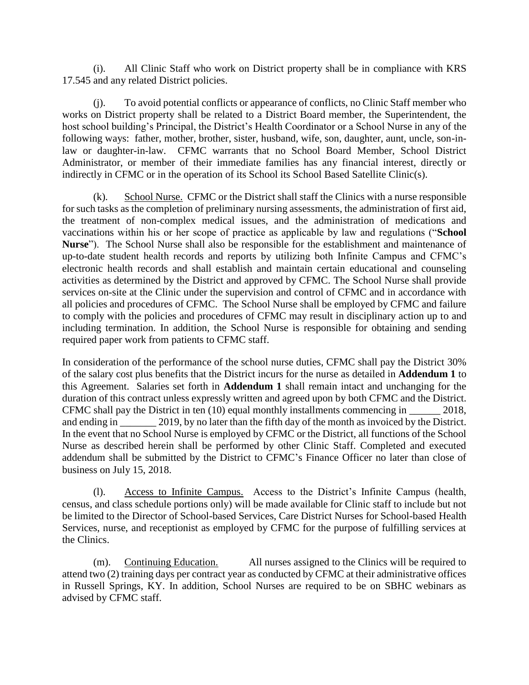(i). All Clinic Staff who work on District property shall be in compliance with KRS 17.545 and any related District policies.

(j). To avoid potential conflicts or appearance of conflicts, no Clinic Staff member who works on District property shall be related to a District Board member, the Superintendent, the host school building's Principal, the District's Health Coordinator or a School Nurse in any of the following ways: father, mother, brother, sister, husband, wife, son, daughter, aunt, uncle, son-inlaw or daughter-in-law. CFMC warrants that no School Board Member, School District Administrator, or member of their immediate families has any financial interest, directly or indirectly in CFMC or in the operation of its School its School Based Satellite Clinic(s).

(k). School Nurse. CFMC or the District shall staff the Clinics with a nurse responsible for such tasks as the completion of preliminary nursing assessments, the administration of first aid, the treatment of non-complex medical issues, and the administration of medications and vaccinations within his or her scope of practice as applicable by law and regulations ("**School Nurse**"). The School Nurse shall also be responsible for the establishment and maintenance of up-to-date student health records and reports by utilizing both Infinite Campus and CFMC's electronic health records and shall establish and maintain certain educational and counseling activities as determined by the District and approved by CFMC. The School Nurse shall provide services on-site at the Clinic under the supervision and control of CFMC and in accordance with all policies and procedures of CFMC. The School Nurse shall be employed by CFMC and failure to comply with the policies and procedures of CFMC may result in disciplinary action up to and including termination. In addition, the School Nurse is responsible for obtaining and sending required paper work from patients to CFMC staff.

In consideration of the performance of the school nurse duties, CFMC shall pay the District 30% of the salary cost plus benefits that the District incurs for the nurse as detailed in **Addendum 1** to this Agreement. Salaries set forth in **Addendum 1** shall remain intact and unchanging for the duration of this contract unless expressly written and agreed upon by both CFMC and the District. CFMC shall pay the District in ten (10) equal monthly installments commencing in \_\_\_\_\_\_ 2018, and ending in \_\_\_\_\_\_\_\_ 2019, by no later than the fifth day of the month as invoiced by the District. In the event that no School Nurse is employed by CFMC or the District, all functions of the School Nurse as described herein shall be performed by other Clinic Staff. Completed and executed addendum shall be submitted by the District to CFMC's Finance Officer no later than close of business on July 15, 2018.

(l). Access to Infinite Campus. Access to the District's Infinite Campus (health, census, and class schedule portions only) will be made available for Clinic staff to include but not be limited to the Director of School-based Services, Care District Nurses for School-based Health Services, nurse, and receptionist as employed by CFMC for the purpose of fulfilling services at the Clinics.

(m). Continuing Education. All nurses assigned to the Clinics will be required to attend two (2) training days per contract year as conducted by CFMC at their administrative offices in Russell Springs, KY. In addition, School Nurses are required to be on SBHC webinars as advised by CFMC staff.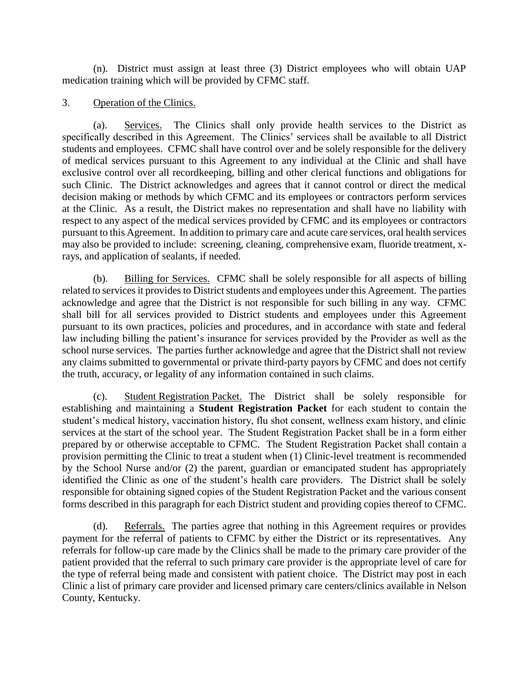(n). District must assign at least three (3) District employees who will obtain UAP medication training which will be provided by CFMC staff.

#### 3. Operation of the Clinics.

(a). Services. The Clinics shall only provide health services to the District as specifically described in this Agreement. The Clinics' services shall be available to all District students and employees. CFMC shall have control over and be solely responsible for the delivery of medical services pursuant to this Agreement to any individual at the Clinic and shall have exclusive control over all recordkeeping, billing and other clerical functions and obligations for such Clinic. The District acknowledges and agrees that it cannot control or direct the medical decision making or methods by which CFMC and its employees or contractors perform services at the Clinic. As a result, the District makes no representation and shall have no liability with respect to any aspect of the medical services provided by CFMC and its employees or contractors pursuant to this Agreement. In addition to primary care and acute care services, oral health services may also be provided to include: screening, cleaning, comprehensive exam, fluoride treatment, xrays, and application of sealants, if needed.

(b). Billing for Services. CFMC shall be solely responsible for all aspects of billing related to services it provides to District students and employees under this Agreement. The parties acknowledge and agree that the District is not responsible for such billing in any way. CFMC shall bill for all services provided to District students and employees under this Agreement pursuant to its own practices, policies and procedures, and in accordance with state and federal law including billing the patient's insurance for services provided by the Provider as well as the school nurse services. The parties further acknowledge and agree that the District shall not review any claims submitted to governmental or private third-party payors by CFMC and does not certify the truth, accuracy, or legality of any information contained in such claims.

(c). Student Registration Packet. The District shall be solely responsible for establishing and maintaining a **Student Registration Packet** for each student to contain the student's medical history, vaccination history, flu shot consent, wellness exam history, and clinic services at the start of the school year. The Student Registration Packet shall be in a form either prepared by or otherwise acceptable to CFMC. The Student Registration Packet shall contain a provision permitting the Clinic to treat a student when (1) Clinic-level treatment is recommended by the School Nurse and/or (2) the parent, guardian or emancipated student has appropriately identified the Clinic as one of the student's health care providers. The District shall be solely responsible for obtaining signed copies of the Student Registration Packet and the various consent forms described in this paragraph for each District student and providing copies thereof to CFMC.

(d). Referrals. The parties agree that nothing in this Agreement requires or provides payment for the referral of patients to CFMC by either the District or its representatives. Any referrals for follow-up care made by the Clinics shall be made to the primary care provider of the patient provided that the referral to such primary care provider is the appropriate level of care for the type of referral being made and consistent with patient choice. The District may post in each Clinic a list of primary care provider and licensed primary care centers/clinics available in Nelson County, Kentucky.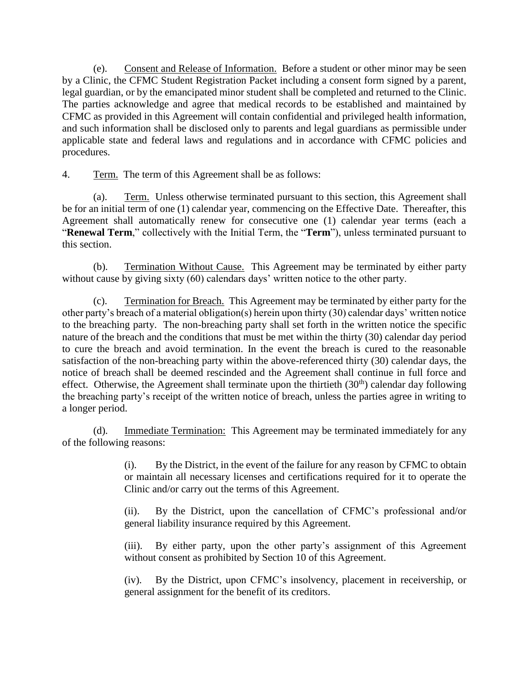(e). Consent and Release of Information. Before a student or other minor may be seen by a Clinic, the CFMC Student Registration Packet including a consent form signed by a parent, legal guardian, or by the emancipated minor student shall be completed and returned to the Clinic. The parties acknowledge and agree that medical records to be established and maintained by CFMC as provided in this Agreement will contain confidential and privileged health information, and such information shall be disclosed only to parents and legal guardians as permissible under applicable state and federal laws and regulations and in accordance with CFMC policies and procedures.

4. Term. The term of this Agreement shall be as follows:

(a). Term. Unless otherwise terminated pursuant to this section, this Agreement shall be for an initial term of one (1) calendar year, commencing on the Effective Date. Thereafter, this Agreement shall automatically renew for consecutive one (1) calendar year terms (each a "**Renewal Term**," collectively with the Initial Term, the "**Term**"), unless terminated pursuant to this section.

(b). Termination Without Cause. This Agreement may be terminated by either party without cause by giving sixty (60) calendars days' written notice to the other party.

(c). Termination for Breach. This Agreement may be terminated by either party for the other party's breach of a material obligation(s) herein upon thirty (30) calendar days' written notice to the breaching party. The non-breaching party shall set forth in the written notice the specific nature of the breach and the conditions that must be met within the thirty (30) calendar day period to cure the breach and avoid termination. In the event the breach is cured to the reasonable satisfaction of the non-breaching party within the above-referenced thirty (30) calendar days, the notice of breach shall be deemed rescinded and the Agreement shall continue in full force and effect. Otherwise, the Agreement shall terminate upon the thirtieth  $(30<sup>th</sup>)$  calendar day following the breaching party's receipt of the written notice of breach, unless the parties agree in writing to a longer period.

(d). Immediate Termination: This Agreement may be terminated immediately for any of the following reasons:

> (i). By the District, in the event of the failure for any reason by CFMC to obtain or maintain all necessary licenses and certifications required for it to operate the Clinic and/or carry out the terms of this Agreement.

> (ii). By the District, upon the cancellation of CFMC's professional and/or general liability insurance required by this Agreement.

> (iii). By either party, upon the other party's assignment of this Agreement without consent as prohibited by Section 10 of this Agreement.

> (iv). By the District, upon CFMC's insolvency, placement in receivership, or general assignment for the benefit of its creditors.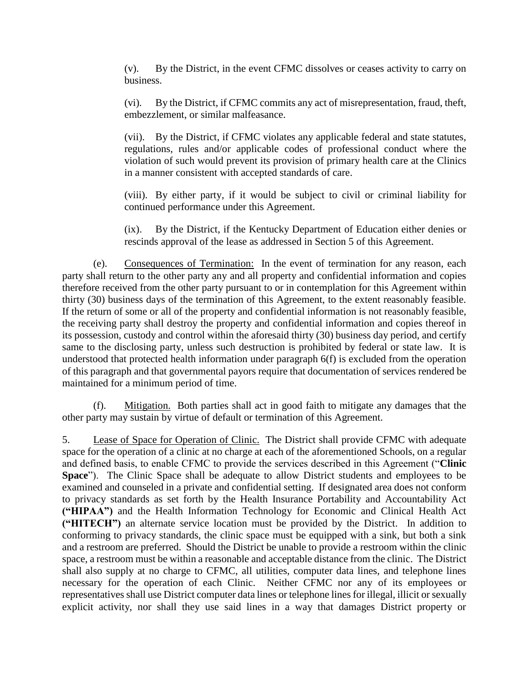(v). By the District, in the event CFMC dissolves or ceases activity to carry on business.

(vi). By the District, if CFMC commits any act of misrepresentation, fraud, theft, embezzlement, or similar malfeasance.

(vii). By the District, if CFMC violates any applicable federal and state statutes, regulations, rules and/or applicable codes of professional conduct where the violation of such would prevent its provision of primary health care at the Clinics in a manner consistent with accepted standards of care.

(viii). By either party, if it would be subject to civil or criminal liability for continued performance under this Agreement.

(ix). By the District, if the Kentucky Department of Education either denies or rescinds approval of the lease as addressed in Section 5 of this Agreement.

(e). Consequences of Termination: In the event of termination for any reason, each party shall return to the other party any and all property and confidential information and copies therefore received from the other party pursuant to or in contemplation for this Agreement within thirty (30) business days of the termination of this Agreement, to the extent reasonably feasible. If the return of some or all of the property and confidential information is not reasonably feasible, the receiving party shall destroy the property and confidential information and copies thereof in its possession, custody and control within the aforesaid thirty (30) business day period, and certify same to the disclosing party, unless such destruction is prohibited by federal or state law. It is understood that protected health information under paragraph 6(f) is excluded from the operation of this paragraph and that governmental payors require that documentation of services rendered be maintained for a minimum period of time.

(f). Mitigation. Both parties shall act in good faith to mitigate any damages that the other party may sustain by virtue of default or termination of this Agreement.

5. Lease of Space for Operation of Clinic. The District shall provide CFMC with adequate space for the operation of a clinic at no charge at each of the aforementioned Schools, on a regular and defined basis, to enable CFMC to provide the services described in this Agreement ("**Clinic Space**"). The Clinic Space shall be adequate to allow District students and employees to be examined and counseled in a private and confidential setting. If designated area does not conform to privacy standards as set forth by the Health Insurance Portability and Accountability Act **("HIPAA")** and the Health Information Technology for Economic and Clinical Health Act **("HITECH")** an alternate service location must be provided by the District. In addition to conforming to privacy standards, the clinic space must be equipped with a sink, but both a sink and a restroom are preferred. Should the District be unable to provide a restroom within the clinic space, a restroom must be within a reasonable and acceptable distance from the clinic. The District shall also supply at no charge to CFMC, all utilities, computer data lines, and telephone lines necessary for the operation of each Clinic. Neither CFMC nor any of its employees or representatives shall use District computer data lines or telephone lines for illegal, illicit or sexually explicit activity, nor shall they use said lines in a way that damages District property or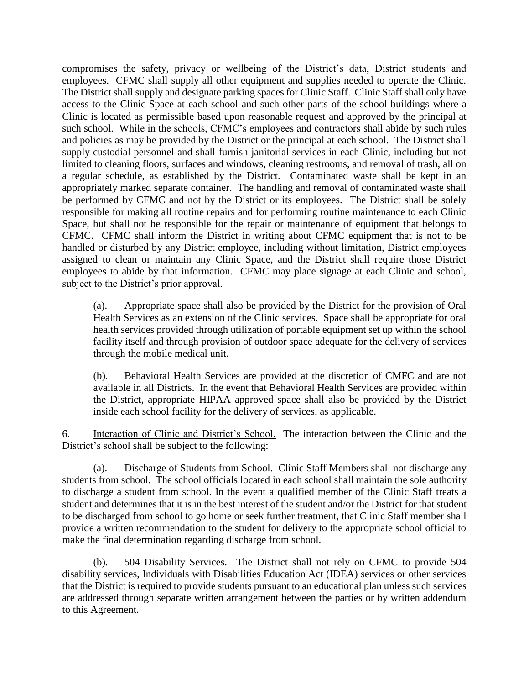compromises the safety, privacy or wellbeing of the District's data, District students and employees. CFMC shall supply all other equipment and supplies needed to operate the Clinic. The District shall supply and designate parking spaces for Clinic Staff. Clinic Staff shall only have access to the Clinic Space at each school and such other parts of the school buildings where a Clinic is located as permissible based upon reasonable request and approved by the principal at such school. While in the schools, CFMC's employees and contractors shall abide by such rules and policies as may be provided by the District or the principal at each school. The District shall supply custodial personnel and shall furnish janitorial services in each Clinic, including but not limited to cleaning floors, surfaces and windows, cleaning restrooms, and removal of trash, all on a regular schedule, as established by the District. Contaminated waste shall be kept in an appropriately marked separate container. The handling and removal of contaminated waste shall be performed by CFMC and not by the District or its employees. The District shall be solely responsible for making all routine repairs and for performing routine maintenance to each Clinic Space, but shall not be responsible for the repair or maintenance of equipment that belongs to CFMC. CFMC shall inform the District in writing about CFMC equipment that is not to be handled or disturbed by any District employee, including without limitation, District employees assigned to clean or maintain any Clinic Space, and the District shall require those District employees to abide by that information. CFMC may place signage at each Clinic and school, subject to the District's prior approval.

(a). Appropriate space shall also be provided by the District for the provision of Oral Health Services as an extension of the Clinic services. Space shall be appropriate for oral health services provided through utilization of portable equipment set up within the school facility itself and through provision of outdoor space adequate for the delivery of services through the mobile medical unit.

(b). Behavioral Health Services are provided at the discretion of CMFC and are not available in all Districts. In the event that Behavioral Health Services are provided within the District, appropriate HIPAA approved space shall also be provided by the District inside each school facility for the delivery of services, as applicable.

6. Interaction of Clinic and District's School. The interaction between the Clinic and the District's school shall be subject to the following:

(a). Discharge of Students from School. Clinic Staff Members shall not discharge any students from school. The school officials located in each school shall maintain the sole authority to discharge a student from school. In the event a qualified member of the Clinic Staff treats a student and determines that it is in the best interest of the student and/or the District for that student to be discharged from school to go home or seek further treatment, that Clinic Staff member shall provide a written recommendation to the student for delivery to the appropriate school official to make the final determination regarding discharge from school.

(b). 504 Disability Services. The District shall not rely on CFMC to provide 504 disability services, Individuals with Disabilities Education Act (IDEA) services or other services that the District is required to provide students pursuant to an educational plan unless such services are addressed through separate written arrangement between the parties or by written addendum to this Agreement.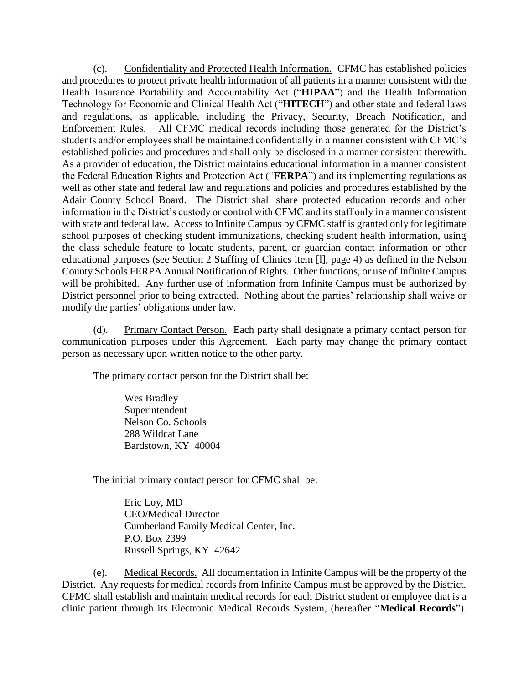(c). Confidentiality and Protected Health Information. CFMC has established policies and procedures to protect private health information of all patients in a manner consistent with the Health Insurance Portability and Accountability Act ("**HIPAA**") and the Health Information Technology for Economic and Clinical Health Act ("**HITECH**") and other state and federal laws and regulations, as applicable, including the Privacy, Security, Breach Notification, and Enforcement Rules. All CFMC medical records including those generated for the District's students and/or employees shall be maintained confidentially in a manner consistent with CFMC's established policies and procedures and shall only be disclosed in a manner consistent therewith. As a provider of education, the District maintains educational information in a manner consistent the Federal Education Rights and Protection Act ("**FERPA**") and its implementing regulations as well as other state and federal law and regulations and policies and procedures established by the Adair County School Board. The District shall share protected education records and other information in the District's custody or control with CFMC and its staff only in a manner consistent with state and federal law. Access to Infinite Campus by CFMC staff is granted only for legitimate school purposes of checking student immunizations, checking student health information, using the class schedule feature to locate students, parent, or guardian contact information or other educational purposes (see Section 2 Staffing of Clinics item [l], page 4) as defined in the Nelson County Schools FERPA Annual Notification of Rights. Other functions, or use of Infinite Campus will be prohibited. Any further use of information from Infinite Campus must be authorized by District personnel prior to being extracted. Nothing about the parties' relationship shall waive or modify the parties' obligations under law.

(d). Primary Contact Person. Each party shall designate a primary contact person for communication purposes under this Agreement. Each party may change the primary contact person as necessary upon written notice to the other party.

The primary contact person for the District shall be:

Wes Bradley Superintendent Nelson Co. Schools 288 Wildcat Lane Bardstown, KY 40004

The initial primary contact person for CFMC shall be:

Eric Loy, MD CEO/Medical Director Cumberland Family Medical Center, Inc. P.O. Box 2399 Russell Springs, KY 42642

(e). Medical Records. All documentation in Infinite Campus will be the property of the District. Any requests for medical records from Infinite Campus must be approved by the District. CFMC shall establish and maintain medical records for each District student or employee that is a clinic patient through its Electronic Medical Records System, (hereafter "**Medical Records**").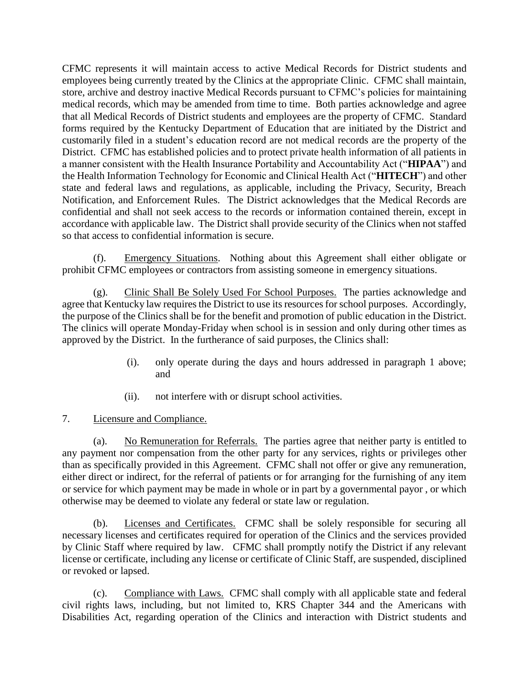CFMC represents it will maintain access to active Medical Records for District students and employees being currently treated by the Clinics at the appropriate Clinic. CFMC shall maintain, store, archive and destroy inactive Medical Records pursuant to CFMC's policies for maintaining medical records, which may be amended from time to time. Both parties acknowledge and agree that all Medical Records of District students and employees are the property of CFMC. Standard forms required by the Kentucky Department of Education that are initiated by the District and customarily filed in a student's education record are not medical records are the property of the District. CFMC has established policies and to protect private health information of all patients in a manner consistent with the Health Insurance Portability and Accountability Act ("**HIPAA**") and the Health Information Technology for Economic and Clinical Health Act ("**HITECH**") and other state and federal laws and regulations, as applicable, including the Privacy, Security, Breach Notification, and Enforcement Rules. The District acknowledges that the Medical Records are confidential and shall not seek access to the records or information contained therein, except in accordance with applicable law. The District shall provide security of the Clinics when not staffed so that access to confidential information is secure.

(f). Emergency Situations. Nothing about this Agreement shall either obligate or prohibit CFMC employees or contractors from assisting someone in emergency situations.

(g). Clinic Shall Be Solely Used For School Purposes. The parties acknowledge and agree that Kentucky law requires the District to use its resources for school purposes. Accordingly, the purpose of the Clinics shall be for the benefit and promotion of public education in the District. The clinics will operate Monday-Friday when school is in session and only during other times as approved by the District. In the furtherance of said purposes, the Clinics shall:

- (i). only operate during the days and hours addressed in paragraph 1 above; and
- (ii). not interfere with or disrupt school activities.
- 7. Licensure and Compliance.

(a). No Remuneration for Referrals. The parties agree that neither party is entitled to any payment nor compensation from the other party for any services, rights or privileges other than as specifically provided in this Agreement. CFMC shall not offer or give any remuneration, either direct or indirect, for the referral of patients or for arranging for the furnishing of any item or service for which payment may be made in whole or in part by a governmental payor , or which otherwise may be deemed to violate any federal or state law or regulation.

(b). Licenses and Certificates. CFMC shall be solely responsible for securing all necessary licenses and certificates required for operation of the Clinics and the services provided by Clinic Staff where required by law. CFMC shall promptly notify the District if any relevant license or certificate, including any license or certificate of Clinic Staff, are suspended, disciplined or revoked or lapsed.

(c). Compliance with Laws. CFMC shall comply with all applicable state and federal civil rights laws, including, but not limited to, KRS Chapter 344 and the Americans with Disabilities Act, regarding operation of the Clinics and interaction with District students and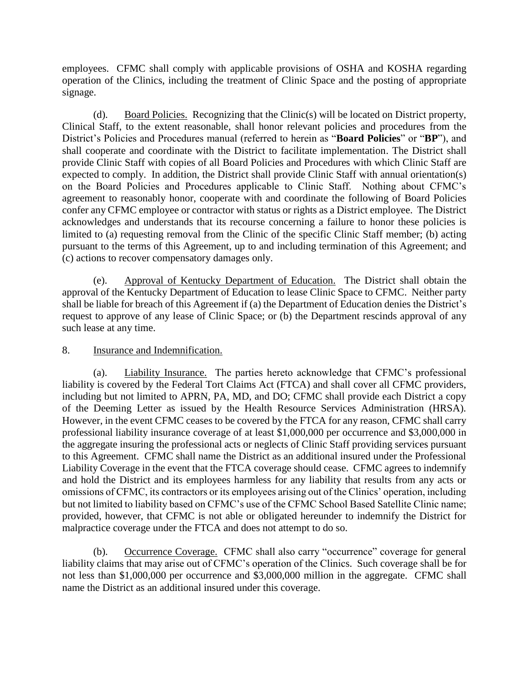employees. CFMC shall comply with applicable provisions of OSHA and KOSHA regarding operation of the Clinics, including the treatment of Clinic Space and the posting of appropriate signage.

(d). Board Policies. Recognizing that the Clinic(s) will be located on District property, Clinical Staff, to the extent reasonable, shall honor relevant policies and procedures from the District's Policies and Procedures manual (referred to herein as "**Board Policies**" or "**BP**"), and shall cooperate and coordinate with the District to facilitate implementation. The District shall provide Clinic Staff with copies of all Board Policies and Procedures with which Clinic Staff are expected to comply. In addition, the District shall provide Clinic Staff with annual orientation(s) on the Board Policies and Procedures applicable to Clinic Staff. Nothing about CFMC's agreement to reasonably honor, cooperate with and coordinate the following of Board Policies confer any CFMC employee or contractor with status or rights as a District employee. The District acknowledges and understands that its recourse concerning a failure to honor these policies is limited to (a) requesting removal from the Clinic of the specific Clinic Staff member; (b) acting pursuant to the terms of this Agreement, up to and including termination of this Agreement; and (c) actions to recover compensatory damages only.

(e). Approval of Kentucky Department of Education. The District shall obtain the approval of the Kentucky Department of Education to lease Clinic Space to CFMC. Neither party shall be liable for breach of this Agreement if (a) the Department of Education denies the District's request to approve of any lease of Clinic Space; or (b) the Department rescinds approval of any such lease at any time.

### 8. Insurance and Indemnification.

(a). Liability Insurance. The parties hereto acknowledge that CFMC's professional liability is covered by the Federal Tort Claims Act (FTCA) and shall cover all CFMC providers, including but not limited to APRN, PA, MD, and DO; CFMC shall provide each District a copy of the Deeming Letter as issued by the Health Resource Services Administration (HRSA). However, in the event CFMC ceases to be covered by the FTCA for any reason, CFMC shall carry professional liability insurance coverage of at least \$1,000,000 per occurrence and \$3,000,000 in the aggregate insuring the professional acts or neglects of Clinic Staff providing services pursuant to this Agreement. CFMC shall name the District as an additional insured under the Professional Liability Coverage in the event that the FTCA coverage should cease. CFMC agrees to indemnify and hold the District and its employees harmless for any liability that results from any acts or omissions of CFMC, its contractors or its employees arising out of the Clinics' operation, including but not limited to liability based on CFMC's use of the CFMC School Based Satellite Clinic name; provided, however, that CFMC is not able or obligated hereunder to indemnify the District for malpractice coverage under the FTCA and does not attempt to do so.

(b). Occurrence Coverage. CFMC shall also carry "occurrence" coverage for general liability claims that may arise out of CFMC's operation of the Clinics. Such coverage shall be for not less than \$1,000,000 per occurrence and \$3,000,000 million in the aggregate. CFMC shall name the District as an additional insured under this coverage.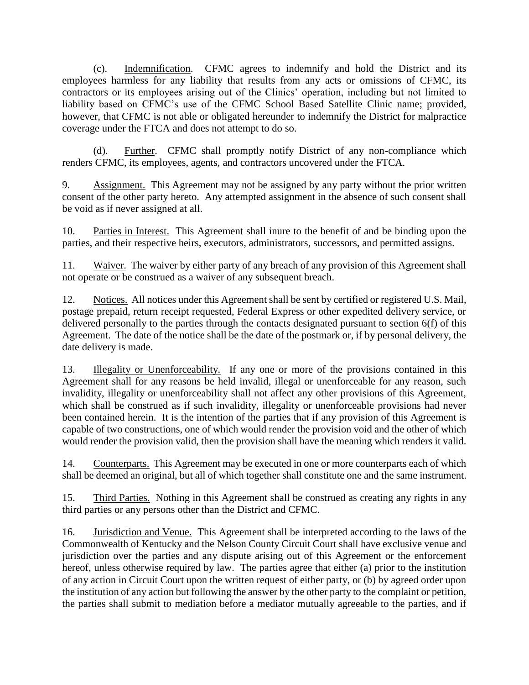(c). Indemnification. CFMC agrees to indemnify and hold the District and its employees harmless for any liability that results from any acts or omissions of CFMC, its contractors or its employees arising out of the Clinics' operation, including but not limited to liability based on CFMC's use of the CFMC School Based Satellite Clinic name; provided, however, that CFMC is not able or obligated hereunder to indemnify the District for malpractice coverage under the FTCA and does not attempt to do so.

(d). Further. CFMC shall promptly notify District of any non-compliance which renders CFMC, its employees, agents, and contractors uncovered under the FTCA.

9. Assignment. This Agreement may not be assigned by any party without the prior written consent of the other party hereto. Any attempted assignment in the absence of such consent shall be void as if never assigned at all.

10. Parties in Interest. This Agreement shall inure to the benefit of and be binding upon the parties, and their respective heirs, executors, administrators, successors, and permitted assigns.

11. Waiver. The waiver by either party of any breach of any provision of this Agreement shall not operate or be construed as a waiver of any subsequent breach.

12. Notices. All notices under this Agreement shall be sent by certified or registered U.S. Mail, postage prepaid, return receipt requested, Federal Express or other expedited delivery service, or delivered personally to the parties through the contacts designated pursuant to section 6(f) of this Agreement. The date of the notice shall be the date of the postmark or, if by personal delivery, the date delivery is made.

13. Illegality or Unenforceability. If any one or more of the provisions contained in this Agreement shall for any reasons be held invalid, illegal or unenforceable for any reason, such invalidity, illegality or unenforceability shall not affect any other provisions of this Agreement, which shall be construed as if such invalidity, illegality or unenforceable provisions had never been contained herein. It is the intention of the parties that if any provision of this Agreement is capable of two constructions, one of which would render the provision void and the other of which would render the provision valid, then the provision shall have the meaning which renders it valid.

14. Counterparts. This Agreement may be executed in one or more counterparts each of which shall be deemed an original, but all of which together shall constitute one and the same instrument.

15. Third Parties. Nothing in this Agreement shall be construed as creating any rights in any third parties or any persons other than the District and CFMC.

16. Jurisdiction and Venue. This Agreement shall be interpreted according to the laws of the Commonwealth of Kentucky and the Nelson County Circuit Court shall have exclusive venue and jurisdiction over the parties and any dispute arising out of this Agreement or the enforcement hereof, unless otherwise required by law. The parties agree that either (a) prior to the institution of any action in Circuit Court upon the written request of either party, or (b) by agreed order upon the institution of any action but following the answer by the other party to the complaint or petition, the parties shall submit to mediation before a mediator mutually agreeable to the parties, and if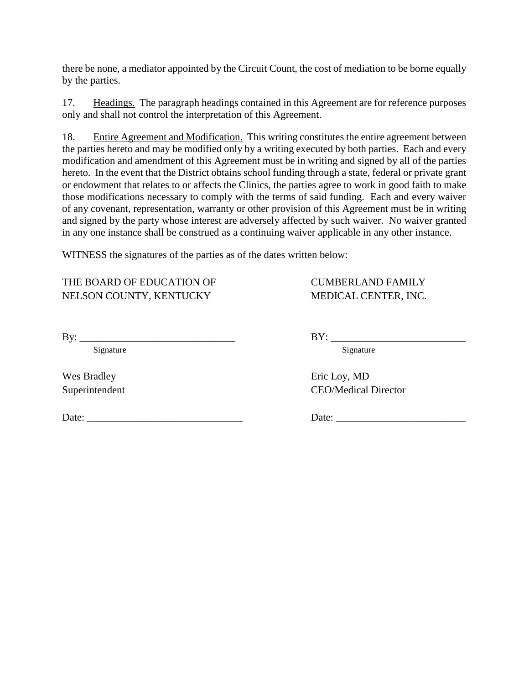there be none, a mediator appointed by the Circuit Count, the cost of mediation to be borne equally by the parties.

17. Headings. The paragraph headings contained in this Agreement are for reference purposes only and shall not control the interpretation of this Agreement.

18. Entire Agreement and Modification. This writing constitutes the entire agreement between the parties hereto and may be modified only by a writing executed by both parties. Each and every modification and amendment of this Agreement must be in writing and signed by all of the parties hereto. In the event that the District obtains school funding through a state, federal or private grant or endowment that relates to or affects the Clinics, the parties agree to work in good faith to make those modifications necessary to comply with the terms of said funding. Each and every waiver of any covenant, representation, warranty or other provision of this Agreement must be in writing and signed by the party whose interest are adversely affected by such waiver. No waiver granted in any one instance shall be construed as a continuing waiver applicable in any other instance.

WITNESS the signatures of the parties as of the dates written below:

THE BOARD OF EDUCATION OF CUMBERLAND FAMILY NELSON COUNTY, KENTUCKY MEDICAL CENTER, INC.

| B<br>- |  |  |
|--------|--|--|
|        |  |  |

Wes Bradley Eric Loy, MD

Date: \_\_\_\_\_\_\_\_\_\_\_\_\_\_\_\_\_\_\_\_\_\_\_\_\_\_\_\_\_\_ Date: \_\_\_\_\_\_\_\_\_\_\_\_\_\_\_\_\_\_\_\_\_\_\_\_\_

 $BY:$ 

Signature Signature Signature

Superintendent CEO/Medical Director